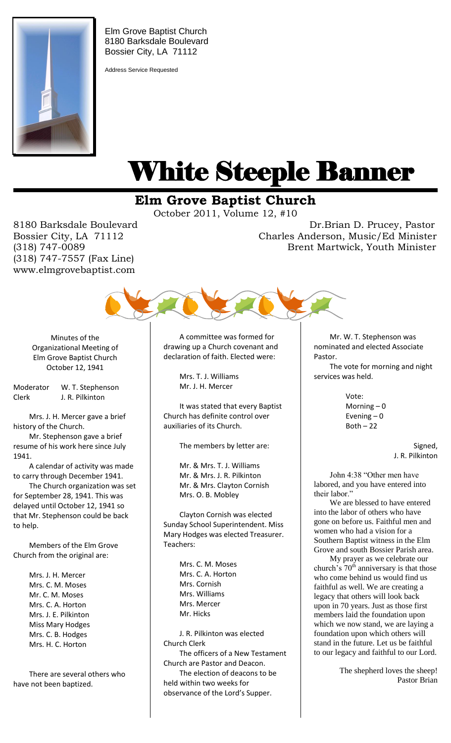

Elm Grove Baptist Church 8180 Barksdale Boulevard Bossier City, LA 71112

Address Service Requested

# White Steeple Banner ı

## **Elm Grove Baptist Church**

October 2011, Volume 12, #10

(318) 747-7557 (Fax Line) www.elmgrovebaptist.com

8180 Barksdale Boulevard Dr.Brian D. Prucey, Pastor Bossier City, LA 71112 Charles Anderson, Music/Ed Minister (318) 747-0089 Brent Martwick, Youth Minister



Minutes of the Organizational Meeting of Elm Grove Baptist Church October 12, 1941

Moderator W. T. Stephenson Clerk J. R. Pilkinton

Mrs. J. H. Mercer gave a brief history of the Church.

Mr. Stephenson gave a brief resume of his work here since July 1941.

A calendar of activity was made to carry through December 1941.

The Church organization was set for September 28, 1941. This was delayed until October 12, 1941 so that Mr. Stephenson could be back to help.

Members of the Elm Grove Church from the original are:

> Mrs. J. H. Mercer Mrs. C. M. Moses Mr. C. M. Moses Mrs. C. A. Horton Mrs. J. E. Pilkinton Miss Mary Hodges Mrs. C. B. Hodges Mrs. H. C. Horton

There are several others who have not been baptized.

A committee was formed for drawing up a Church covenant and declaration of faith. Elected were:

> Mrs. T. J. Williams Mr. J. H. Mercer

It was stated that every Baptist Church has definite control over auxiliaries of its Church.

The members by letter are:

Mr. & Mrs. T. J. Williams Mr. & Mrs. J. R. Pilkinton Mr. & Mrs. Clayton Cornish Mrs. O. B. Mobley

Clayton Cornish was elected Sunday School Superintendent. Miss Mary Hodges was elected Treasurer. Teachers:

> Mrs. C. M. Moses Mrs. C. A. Horton Mrs. Cornish Mrs. Williams Mrs. Mercer Mr. Hicks

J. R. Pilkinton was elected Church Clerk The officers of a New Testament Church are Pastor and Deacon. The election of deacons to be held within two weeks for observance of the Lord's Supper.

Mr. W. T. Stephenson was nominated and elected Associate Pastor.

The vote for morning and night services was held.

> Vote: Morning – 0 Evening  $-0$  $Both - 22$

> > Signed, J. R. Pilkinton

John 4:38 "Other men have labored, and you have entered into their labor."

We are blessed to have entered into the labor of others who have gone on before us. Faithful men and women who had a vision for a Southern Baptist witness in the Elm Grove and south Bossier Parish area.

My prayer as we celebrate our church's  $70<sup>th</sup>$  anniversary is that those who come behind us would find us faithful as well. We are creating a legacy that others will look back upon in 70 years. Just as those first members laid the foundation upon which we now stand, we are laying a foundation upon which others will stand in the future. Let us be faithful to our legacy and faithful to our Lord.

> The shepherd loves the sheep! Pastor Brian